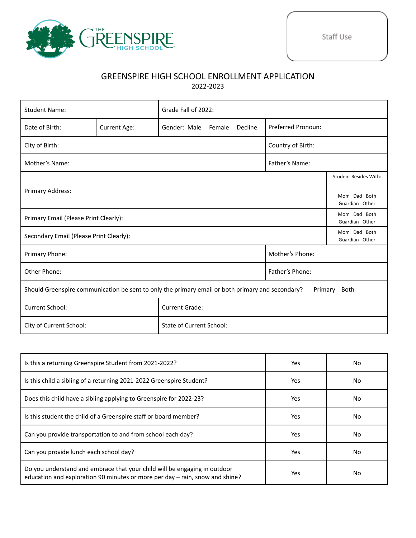

## GREENSPIRE HIGH SCHOOL ENROLLMENT APPLICATION 2022-2023

| <b>Student Name:</b>                                                                                                |                                | Grade Fall of 2022:               |                    |  |  |
|---------------------------------------------------------------------------------------------------------------------|--------------------------------|-----------------------------------|--------------------|--|--|
| Date of Birth:                                                                                                      | <b>Current Age:</b>            | Gender: Male<br>Female<br>Decline | Preferred Pronoun: |  |  |
| City of Birth:<br>Country of Birth:                                                                                 |                                |                                   |                    |  |  |
| Mother's Name:                                                                                                      |                                |                                   |                    |  |  |
|                                                                                                                     | <b>Student Resides With:</b>   |                                   |                    |  |  |
| Primary Address:                                                                                                    | Mom Dad Both<br>Guardian Other |                                   |                    |  |  |
| Primary Email (Please Print Clearly):                                                                               | Mom Dad Both<br>Guardian Other |                                   |                    |  |  |
| Secondary Email (Please Print Clearly):                                                                             | Mom Dad Both<br>Guardian Other |                                   |                    |  |  |
| Primary Phone:                                                                                                      |                                |                                   |                    |  |  |
| Other Phone:                                                                                                        |                                |                                   | Father's Phone:    |  |  |
| Should Greenspire communication be sent to only the primary email or both primary and secondary?<br>Primary<br>Both |                                |                                   |                    |  |  |
| <b>Current School:</b>                                                                                              |                                | <b>Current Grade:</b>             |                    |  |  |
| City of Current School:                                                                                             |                                | <b>State of Current School:</b>   |                    |  |  |

| Is this a returning Greenspire Student from 2021-2022?                                                                                                    | Yes  | No. |
|-----------------------------------------------------------------------------------------------------------------------------------------------------------|------|-----|
| Is this child a sibling of a returning 2021-2022 Greenspire Student?                                                                                      | Yes  | No. |
| Does this child have a sibling applying to Greenspire for 2022-23?                                                                                        | Yes  | No. |
| Is this student the child of a Greenspire staff or board member?                                                                                          | Yes  | No  |
| Can you provide transportation to and from school each day?                                                                                               | Yes. | No. |
| Can you provide lunch each school day?                                                                                                                    | Yes  | No. |
| Do you understand and embrace that your child will be engaging in outdoor<br>education and exploration 90 minutes or more per day - rain, snow and shine? | Yes  | No  |